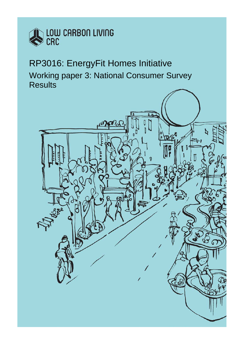

RP3016: EnergyFit Homes Initiative Working paper 3: National Consumer Survey **Results** 

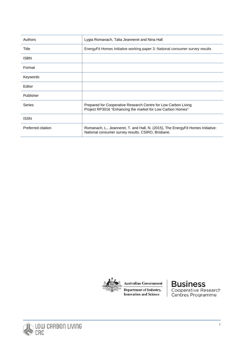| Authors            | Lygia Romanach, Talia Jeanneret and Nina Hall                                                                                          |
|--------------------|----------------------------------------------------------------------------------------------------------------------------------------|
| Title              | EnergyFit Homes Initiative working paper 3: National consumer survey results                                                           |
| <b>ISBN</b>        |                                                                                                                                        |
| Format             |                                                                                                                                        |
| Keywords           |                                                                                                                                        |
| Editor             |                                                                                                                                        |
| Publisher          |                                                                                                                                        |
| <b>Series</b>      | Prepared for Cooperative Research Centre for Low Carbon Living<br>Project RP3016 "Enhancing the market for Low Carbon Homes"           |
| <b>ISSN</b>        |                                                                                                                                        |
| Preferred citation | Romanach, L., Jeanneret, T. and Hall, N. (2015), The EnergyFit Homes Initiative:<br>National consumer survey results. CSIRO, Brisbane. |



**Australian Government** Department of Industry, **Innovation and Science** 

**Business** Cooperative Research<br>Centres Programme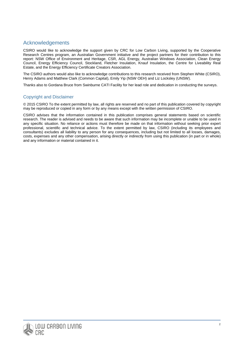# Acknowledgements

CSIRO would like to acknowledge the support given by CRC for Low Carbon Living, supported by the Cooperative Research Centres program, an Australian Government initiative and the project partners for their contribution to this report: NSW Office of Environment and Heritage, CSR, AGL Energy, Australian Windows Association, Clean Energy Council, Energy Efficiency Council, Stockland, Fletcher Insulation, Knauf Insulation, the Centre for Liveability Real Estate, and the Energy Efficiency Certificate Creators Association.

The CSIRO authors would also like to acknowledge contributions to this research received from Stephen White (CSIRO), Henry Adams and Matthew Clark (Common Capital), Emily Yip (NSW OEH) and Liz Locksley (UNSW).

Thanks also to Gordana Bruce from Swinburne CATI Facility for her lead role and dedication in conducting the surveys.

# Copyright and Disclaimer

© 2015 CSIRO To the extent permitted by law, all rights are reserved and no part of this publication covered by copyright may be reproduced or copied in any form or by any means except with the written permission of CSIRO.

CSIRO advises that the information contained in this publication comprises general statements based on scientific research. The reader is advised and needs to be aware that such information may be incomplete or unable to be used in any specific situation. No reliance or actions must therefore be made on that information without seeking prior expert professional, scientific and technical advice. To the extent permitted by law, CSIRO (including its employees and consultants) excludes all liability to any person for any consequences, including but not limited to all losses, damages, costs, expenses and any other compensation, arising directly or indirectly from using this publication (in part or in whole) and any information or material contained in it.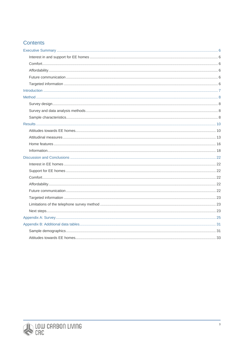# **Contents**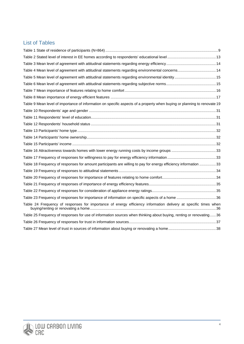# List of Tables

| Table 4 Mean level of agreement with attitudinal statements regarding environmental concerns 14                          |  |
|--------------------------------------------------------------------------------------------------------------------------|--|
|                                                                                                                          |  |
|                                                                                                                          |  |
|                                                                                                                          |  |
|                                                                                                                          |  |
| Table 9 Mean level of importance of information on specific aspects of a property when buying or planning to renovate 19 |  |
|                                                                                                                          |  |
|                                                                                                                          |  |
|                                                                                                                          |  |
|                                                                                                                          |  |
|                                                                                                                          |  |
|                                                                                                                          |  |
|                                                                                                                          |  |
|                                                                                                                          |  |
| Table 18 Frequency of responses for amount participants are willing to pay for energy efficiency information 33          |  |
|                                                                                                                          |  |
|                                                                                                                          |  |
|                                                                                                                          |  |
|                                                                                                                          |  |
|                                                                                                                          |  |
| Table 24 Frequency of responses for importance of energy efficiency information delivery at specific times when          |  |
| Table 25 Frequency of responses for use of information sources when thinking about buying, renting or renovating 36      |  |
|                                                                                                                          |  |
|                                                                                                                          |  |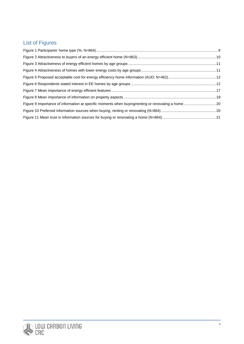# List of Figures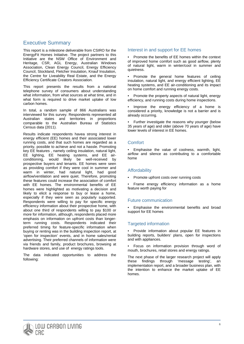# Executive Summary

This report is a milestone deliverable from CSIRO for the EnergyFit Homes Initiative. The project partners to this Initiative are the NSW Office of Environment and Heritage, CSR, AGL Energy, Australian Windows Association, Clean Energy Council, Energy Efficiency Council, Stockland, Fletcher Insulation, Knauf Insulation, the Centre for Liveability Real Estate, and the Energy Efficiency Certificate Creators Association.

This report presents the results from a national telephone survey of consumers about understanding what information, from what sources at what time, and in what form is required to drive market uptake of low carbon homes.

In total, a random sample of 866 Australians was interviewed for this survey. Respondents represented all Australian states and territories in proportions comparable to the Australian Bureau of Statistics Census data (2011).

Results indicate respondents havea strong interest in energy efficient (EE) homes and their associated lower running costs, and that such homes are regarded as a priority, possible to achieve and not a hassle. Promoting key EE features , namely ceiling insulation, natural light, EE lighting, EE heating systems, and EE airconditioning, would likely be well-received by prospective buyers and tenants. EE homes were seen as providing comfort if they were cool in summer and warm in winter, had natural light, had good airflow/ventilation and were quiet. Therefore, promoting these features could increase the association of comfort with EE homes. The environmental benefits of EE homes were highlighted as motivating a decision and likely to elicit a response to buy or lease a home, especially if they were seen as popularly supported. Respondents were willing to pay for specific energy efficiency information about their prospective home, with about one third of respondents willing to pay \$100 or more for information, although, respondents placed more emphasis on information on upfront costs than longerterm running costs. Respondents indicated their preferred timing for feature-specific information when buying or renting was in the building inspection report, at 'open for inspection' events, and in home sales/rental advertising. Their preferred channels of information were via friends and family, product brochures, browsing at hardware stores, and use of energy ratings tools.

The data indicated opportunities to address the following:

#### Interest in and support for EE homes

• Promote the benefits of EE homes within the context of improved home comfort such as good airflow, plenty of natural light, warm in winter/cool in summer and quietness.

• Promote the general home features of ceiling insulation, natural light, and energy efficient lighting, EE heating systems, and EE air-conditioning and its impact on home comfort and running energy costs.

Promote the property aspects of natural light, energy efficiency, and running costs during home inspections.

Improve the energy efficiency of a home is considered a priority, knowledge is not a barrier and is already occurring.

• Further investigate the reasons why younger (below 35 years of age) and older (above 70 years of age) have lower levels of interest in EE homes.

### **Comfort**

• Emphasise the value of coolness, warmth, light, airflow and silence as contributing to a comfortable home

### Affordability

- Promote upfront costs over running costs
- Frame energy efficiency information as a home feature worth paying for

#### Future communication

• Emphasise the environmental benefits and broad support for EE homes

## Targeted information

• Provide information about popular EE features in building reports, builders' plans, open for inspections and with appliances.

Focus on information provision through word of mouth, brochures, retail stores and energy ratings.

The next phase of the larger research project will apply these findings through 'message testing', an implementation report, and a broader business plan, with the intention to enhance the market uptake of EE homes.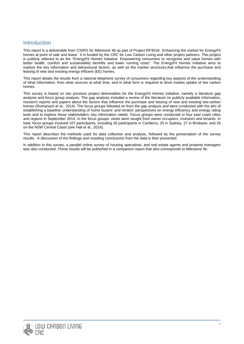# **Introduction**

This report is a deliverable from CSIRO for Milestone 4b as part of Project RP3016: 'Enhancing the market for EnergyFit homes at point of sale and lease'. It is funded by the CRC for Low Carbon Living and other project partners. This project is publicly referred to as the "EnergyFit Homes Initiative: Empowering consumers to recognise and value homes with better health, comfort and sustainability benefits and lower running costs". The EnergyFit Homes Initiative aims to explore the key information and behavioural factors, as well as the market structures,that influence the purchase and leasing of new and existing energy efficient (EE) homes.

This report details the results from a national telephone survey of consumers regarding key aspects of the understanding of what information, from what sources at what time, and in what form is required to drive market uptake of low carbon homes.

This survey is based on two previous project deliverables for the EnergyFit Homes Initiative, namely a literature gap analysis and focus group analysis. The gap analysis included a review of the literature on publicly available information, research reports and papers about the factors that influence the purchase and leasing of new and existing low-carbon homes (Romanach et al., 2014). The focus groups followed on from the gap analysis and were conducted with the aim of establishing a baseline understanding of home buyers' and renters' perspectives on energy efficiency and energy rating tools and to explore these stakeholders' key information needs. Focus groups were conducted in four east coast cities and regions in September 2014. In the focus groups, views were sought from owner occupiers, investors and tenants. In total, focus groups involved 107 participants, including 26 participants in Canberra, 25 in Sydney, 27 in Brisbane, and 29 on the NSW Central Coast (see Hall et al., 2014).

This report describes the methods used for data collection and analysis, followed by the presentation of the survey results. A discussion of the findings and resulting conclusions from the data is then presented.

In addition to this survey, a parallel online survey of housing specialists, and real estate agents and property managers was also conducted. These results will be published in a companion report that also corresponds to Milestone 4b.

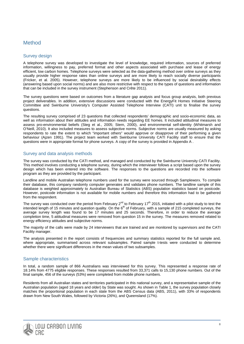# Method

#### Survey design

A telephone survey was developed to investigate the level of knowledge, required information, sources of preferred information, willingness to pay, preferred format and other aspects associated with purchase and lease of energy efficient, low carbon homes. Telephone surveys were selected as the data-gathering method over online surveys as they usually provide higher response rates than online surveys and are more likely to reach socially diverse participants (Fricker, et al. 2005). However, telephone surveys are more likely to be influenced by social desirability effects (answering based upon social norms) and are also more restrictive with respect to the types of questions and information that can be included in the survey instrument (Stephenson and Crête 2011).

The survey questions were based on outcomes from a literature gap analysis and focus group analysis, both previous project deliverables. In addition, extensive discussions were conducted with the EnergyFit Homes Initiative Steering Committee and Swinburne University's Computer Assisted Telephone Interview (CATI) unit to finalise the survey questions.

The resulting survey comprised of 23 questions that collected respondents' demographic and socio-economic data, as well as information about their attitudes and information needs regarding EE homes. It included attitudinal measures to assess pro-environmental beliefs (Steg et al., 2005; Stern, 2000), and environmental self-identity (Whitmarsh and O'Neill, 2010). It also included measures to assess subjective norms. Subjective norms are usually measured by asking respondents to rate the extent to which "important others" would approve or disapprove of their performing a given behaviour (Ajzen 1991). The project team worked with Swinburne University CATI Facility staff to ensure that the questions were in appropriate format for phone surveys. A copy of the survey is provided in Appendix A.

#### Survey and data analysis methods

The survey was conducted by the CATI method, and managed and conducted by the Swinburne University CATI Facility. This method involves conducting a telephone survey, during which the interviewer follows a script based upon the survey design which has been entered into the software. The responses to the questions are recorded into the software program as they are provided by the participant.

Landline and mobile Australian telephone numbers used for the survey were sourced through Sampleworx. To compile their database, this company randomly computer generates and validates phone numbers. The landline sample of this database is weighted approximately to Australian Bureau of Statistics (ABS) population statistics based on postcode. However, postcode information is not available for mobile numbers and therefore this information had to be gathered from the respondent.

The survey was conducted over the period from February  $2^{nd}$  to February 17<sup>th</sup> 2015, initiated with a pilot study to test the intended length of 15 minutes and question quality. On the  $6<sup>th</sup>$  of February, with a sample of 215 completed surveys, the average survey length was found to be 17 minutes and 25 seconds. Therefore, in order to reduce the average completion time, 5 attitudinal measures were removed from question 15 in the survey. The measures removed related to energy efficiency attitudes and subjective norms.

The majority of the calls were made by 24 interviewers that are trained and are monitored by supervisors and the CATI Facility manager.

The analysis presented in the report consists of frequencies and summary statistics reported for the full sample and, where appropriate, summarised across relevant subsamples. Paired sample t-tests were conducted to determine whether there were significant differences in the mean values of two subsamples.

## Sample characteristics

In total, a random sample of 866 Australians was interviewed for this survey. This represented a response rate of 18.14% from 4775 eligible responses. These responses resulted from 33,371 calls to 15,130 phone numbers. Out of the final sample, 456 of the surveys (53%) were completed from mobile phone numbers.

<span id="page-8-0"></span>Residents from all Australian states and territories participated in this national survey, and a representative sample of the Australian population (aged 18 years and older) by State was sought. As shown in [Table 1,](#page-8-0) the survey population closely matches the proportional population in each state from the ABS Census data (ABS, 2011), with 33% of respondents drawn from New South Wales, followed by Victoria (26%), and Queensland (17%).

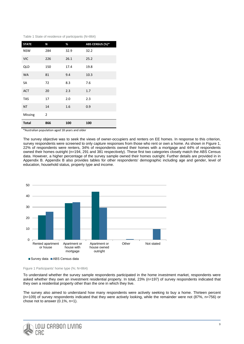Table 1 State of residence of participants (N=864)

| <b>STATE</b> | Ν              | %    | ABS CENSUS (%)* |
|--------------|----------------|------|-----------------|
| <b>NSW</b>   | 284            | 32.9 | 32.2            |
| <b>VIC</b>   | 226            | 26.1 | 25.2            |
| QLD          | 150            | 17.4 | 19.8            |
| <b>WA</b>    | 81             | 9.4  | 10.3            |
| <b>SA</b>    | 72             | 8.3  | 7.6             |
| <b>ACT</b>   | 20             | 2.3  | 1.7             |
| <b>TAS</b>   | 17             | 2.0  | 2.3             |
| <b>NT</b>    | 14             | 1.6  | 0.9             |
| Missing      | $\overline{2}$ |      |                 |
| <b>Total</b> | 866            | 100  | 100             |

\*Australian population aged 18 years and older

The survey objective was to seek the views of owner-occupiers and renters on EE homes. In response to this criterion, survey respondents were screened to only capture responses from those who rent or own a home. As shown in [Figure 1,](#page-9-0) 22% of respondents were renters, 34% of respondents owned their homes with a mortgage and 44% of respondents owned their homes outright (n=194, 291 and 381 respectively). These first two categories closely match the ABS Census data. However, a higher percentage of the survey sample owned their homes outright. Further details are provided in in Appendix B. Appendix B also provides tables for other respondents' demographic including age and gender, level of education, household status, property type and income.



■ Survey data ■ ABS Census data

<span id="page-9-0"></span>Figure 1 Participants' home type (%; N=864)

To understand whether the survey sample respondents participated in the home investment market, respondents were asked whether they own an investment residential property. In total, 23% (n=197) of survey respondents indicated that they own a residential property other than the one in which they live.

The survey also aimed to understand how many respondents were actively seeking to buy a home. Thirteen percent (n=109) of survey respondents indicated that they were actively looking, while the remainder were not (87%, n=756) or chose not to answer (0.1%, n=1).

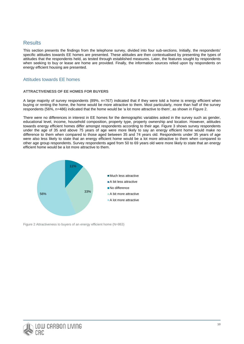# **Results**

This section presents the findings from the telephone survey, divided into four sub-sections. Initially, the respondents' specific attitudes towards EE homes are presented. These attitudes are then contextualised by presenting the types of attitudes that the respondents held, as tested through established measures. Later, the features sought by respondents when seeking to buy or lease are home are provided. Finally, the information sources relied upon by respondents on energy efficient housing are presented.

## Attitudes towards EE homes

#### **ATTRACTIVENESS OF EE HOMES FOR BUYERS**

A large majority of survey respondents (89%, n=767) indicated that if they were told a home is energy efficient when buying or renting the home, the home would be more attractive to them. Most particularly, more than half of the survey respondents (56%, n=486) indicated that the home would be 'a lot more attractive to them', as shown i[n Figure 2.](#page-10-0)

There were no differences in interest in EE homes for the demographic variables asked in the survey such as gender, educational level, income, household composition, property type, property ownership and location. However, attitudes towards energy efficient homes differ amongst respondents according to their age. [Figure 3](#page-11-0) shows survey respondents under the age of 35 and above 75 years of age were more likely to say an energy efficient home would make no difference to them when compared to those aged between 35 and 74 years old. Respondents under 35 years of age were also less likely to state that an energy efficient home would be a lot more attractive to them when compared to other age group respondents. Survey respondents aged from 50 to 69 years old were more likely to state that an energy efficient home would be a lot more attractive to them.



<span id="page-10-0"></span>Figure 2 Attractiveness to buyers of an energy efficient home (N=863)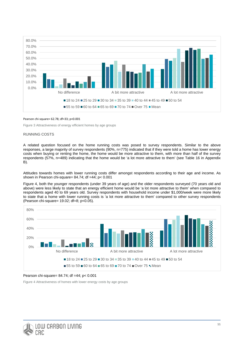

#### Pearson chi-square= 62.78; df=33; p<0.001

<span id="page-11-0"></span>Figure 3 Attractiveness of energy efficient homes by age groups

#### RUNNING COSTS

A related question focused on the home running costs was posed to survey respondents. Similar to the above responses, a large majority of survey respondents (90%, n=775) indicated that if they were told a home has lower energy costs when buying or renting the home, the home would be more attractive to them, with more than half of the survey respondents (57%, n=489) indicating that the home would be 'a lot more attractive to them' (see [Table 16](#page-33-0) in Appendix B).

Attitudes towards homes with lower running costs differ amongst respondents according to their age and income. As shown in Pearson chi-square=  $84.74$ ; df = $44$ ; p<  $0.001$ 

[Figure 4,](#page-11-1) both the younger respondents (under 39 years of age) and the older respondents surveyed (70 years old and above) were less likely to state that an energy efficient home would be 'a lot more attractive to them' when compared to respondents aged 40 to 69 years old. Survey respondents with household income under \$1,000/week were more likely to state that a home with lower running costs is 'a lot more attractive to them' compared to other survey respondents (Pearson chi-square=  $19.02$ ; df=8; p<0.05).



#### <span id="page-11-1"></span>Pearson chi-square= 84.74; df =44; p< 0.001

Figure 4 Attractiveness of homes with lower energy costs by age groups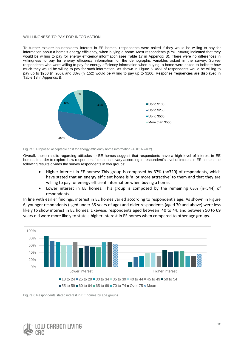#### WILLLINGNESS TO PAY FOR INFORMATION

To further explore householders' interest in EE homes, respondents were asked if they would be willing to pay for information about a home's energy efficiency, when buying a home. Most respondents (57%, n=480) indicated that they would be willing to pay for energy efficiency information (see [Table 17](#page-33-1) in Appendix B). There were no differences in willingness to pay for energy efficiency information for the demographic variables asked in the survey. Survey respondents who were willing to pay for energy efficiency information when buying a home were asked to indicate how much they would be willing to pay for such information. As shown in [Figure 5,](#page-12-0) 45% of respondents would be willing to pay up to \$250 (n=206), and 33% (n=152) would be willing to pay up to \$100. Response frequencies are displayed in [Table 18](#page-33-2) in Appendix B.



<span id="page-12-0"></span>Figure 5 Proposed acceptable cost for energy efficiency home information (AUD; N=462)

Overall, these results regarding attitudes to EE homes suggest that respondents have a high level of interest in EE homes. In order to explore how respondents' responses vary according to respondent's level of interest in EE homes, the following results divides the survey respondents in two groups:

- Higher interest in EE homes: This group is composed by 37% (n=320) of respondents, which have stated that an energy efficient home is 'a lot more attractive' to them and that they are willing to pay for energy efficient information when buying a home.
- Lower interest in EE homes: This group is composed by the remaining 63% (n=544) of respondents.

In line with earlier findings, interest in EE homes varied according to respondent's age. As shown in [Figure](#page-12-1)  [6,](#page-12-1) younger respondents (aged under 35 years of age) and older respondents (aged 70 and above) were less likely to show interest in EE homes. Likewise, respondents aged between 40 to 44, and between 50 to 69 years old were more likely to state a higher interest in EE homes when compared to other age groups.



<span id="page-12-1"></span>Figure 6 Respondents stated interest in EE homes by age groups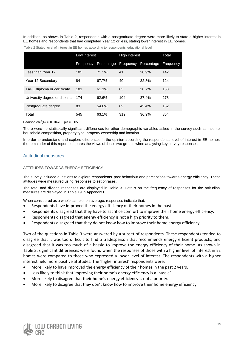In addition, as shown in [Table 2,](#page-13-0) respondents with a postgraduate degree were more likely to state a higher interest in EE homes and respondents that had completed Year 12 or less, stating lower interest in EE homes.

|                              | Low interest |            |           | High interest |           |  |  |  |
|------------------------------|--------------|------------|-----------|---------------|-----------|--|--|--|
|                              | Frequency    | Percentage | Frequency | Percentage    | Frequency |  |  |  |
| Less than Year 12            | 101          | 71.1%      | 41        | 28.9%         | 142       |  |  |  |
| Year 12 Secondary            | 84           | 67.7%      | 40        | 32.3%         | 124       |  |  |  |
| TAFE diploma or certificate  | 103          | 61.3%      | 65        | 38.7%         | 168       |  |  |  |
| University degree or diploma | 174          | 62.6%      | 104       | 37.4%         | 278       |  |  |  |
| Postgraduate degree          | 83           | 54.6%      | 69        | 45.4%         | 152       |  |  |  |
| Total                        | 545          | 63.1%      | 319       | 36.9%         | 864       |  |  |  |

<span id="page-13-0"></span>Table 2 Stated level of interest in EE homes according to respondents' educational level

Pearson chi<sup>2</sup>(4) = 10.0473 p < = 0.05

There were no statistically significant differences for other demographic variables asked in the survey such as income, household composition, property type, property ownership and location.

In order to understand and explore differences in the opinion according the respondent's level of interest in EE homes, the remainder of this report compares the views of these two groups when analysing key survey responses.

#### Attitudinal measures

#### ATTITUDES TOWARDS ENERGY EFFICIENCY

The survey included questions to explore respondents' past behaviour and perceptions towards energy efficiency. These attitudes were measured using responses to set phrases.

The total and divided responses are displayed in [Table 3.](#page-13-1) Details on the frequency of responses for the attitudinal measures are displayed in [Table 19](#page-34-0) in Appendix B.

When considered as a whole sample, on average, responses indicate that:

- Respondents have improved the energy efficiency of their homes in the past.
- Respondents disagreed that they have to sacrifice comfort to improve their home energy efficiency.
- Respondents disagreed that energy efficiency is not a high priority to them.
- Respondents disagreed that they do not know how to improve their home energy efficiency.

Two of the questions in [Table 3](#page-13-1) were answered by a subset of respondents. These respondents tended to disagree that it was too difficult to find a tradesperson that recommends energy efficient products, and disagreed that it was too much of a hassle to improve the energy efficiency of their home. As shown in [Table 3,](#page-13-1) significant differences were found when the responses of those with a higher level of interest in EE homes were compared to those who expressed a lower level of interest. The respondents with a higher interest held more positive attitudes. The 'higher interest' respondents were:

- More likely to have improved the energy efficiency of their homes in the past 2 years.
- Less likely to think that improving their home's energy efficiency is a 'hassle'.
- More likely to disagree that their home's energy efficiency is not a priority.
- <span id="page-13-1"></span>More likely to disagree that they don't know how to improve their home energy efficiency.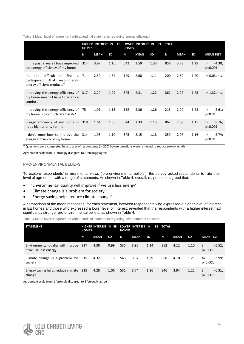Table 3 Mean level of agreement with attitudinal statements regarding energy efficiency

|                                                                                                             | <b>HOMES</b> | HIGHER INTEREST IN | EE        | <b>HOMES</b> | LOWER INTEREST IN |           | EE TOTAL |             |           |                              |
|-------------------------------------------------------------------------------------------------------------|--------------|--------------------|-----------|--------------|-------------------|-----------|----------|-------------|-----------|------------------------------|
|                                                                                                             | N            | <b>MEAN</b>        | <b>SD</b> | N            | <b>MEAN</b>       | <b>SD</b> | N        | <b>MEAN</b> | <b>SD</b> | <b>MEAN TEST</b>             |
| In the past 2 years I have improved<br>the energy efficiency of my home                                     | 314          | 3.97               | 1.16      | 542          | 3.59              | 1.33      | 856      | 3.73        | 1.29      | $-4.30;$<br>$t =$<br>p<0.001 |
| Iťs<br>difficult<br>find<br>to<br>too<br>a<br>that recommends<br>tradesperson<br>energy efficient products* | 71           | 2.59               | 1.34      | 129          | 2.60              | 1.11      | 200      | 2.60        | 1.20      | $t = 0.03$ ; n.s.            |
| Improving the energy efficiency of 317<br>my home means I have to sacrifice<br>comfort                      |              | 2.20               | 1.29      | 545          | 2.31              | 1.22      | 862      | 2.27        | 1.25      | $t = 1.32; n.s.$             |
| Improving the energy efficiency of<br>my home is too much of a hassle*                                      | 75           | 1.91               | 1.13      | 138          | 2.36              | 1.26      | 213      | 2.20        | 1.23      | 2.61;<br>$t =$<br>p<0.01     |
| Energy efficiency of my home is<br>not a high priority for me                                               | -318         | 1.64               | 1.06      | 544          | 2.33              | 1.13      | 862      | 2.08        | 1.15      | 8.76;<br>$t =$<br>p<0.001    |
| I don't know how to improve the<br>energy efficiency of my home                                             | 314          | 1.93               | 1.10      | 545          | 2.15              | 1.18      | 859      | 2.07        | 1.16      | 2.74;<br>$t =$<br>p<0.01     |

\* Questions were completed by a subset of respondents (n=200) before questions were removed to reduce survey length

Agreement scale from 1 'strongly disagree' to 5 'strongly agree'

#### PRO-ENVIRONMENTAL BELIEFS

To explore respondents' environmental views ('pro-environmental beliefs'), the survey asked respondents to rate their level of agreement with a range of statements. As shown in [Table 4,](#page-14-0) overall, respondents agreed that:

- 'Environmental quality will improve if we use less energy'.
- 'Climate change is a problem for society'.
- 'Energy saving helps reduce climate change'.

A comparison of the mean responses, for each statement, between respondents who expressed a higher level of interest in EE homes and those who expressed a lower level of interest, revealed that the respondents with a higher interest had significantly stronger pro-environmental beliefs, as shown in [Table 4.](#page-14-0)

<span id="page-14-0"></span>Table 4 Mean level of agreement with attitudinal statements regarding environmental concerns

| <b>STATEMENT</b>                                                | <b>HOMES</b> | HIGHER INTEREST IN | EE        | <b>HOMES</b> | LOWER INTEREST IN | EE        | <b>TOTAL</b> |             |           |                              |
|-----------------------------------------------------------------|--------------|--------------------|-----------|--------------|-------------------|-----------|--------------|-------------|-----------|------------------------------|
|                                                                 | N            | <b>MEAN</b>        | <b>SD</b> | N            | <b>MEAN</b>       | <b>SD</b> | Ν            | <b>MEAN</b> | <b>SD</b> | <b>MEAN TEST</b>             |
| Environmental quality will improve 317<br>if we use less energy |              | 4.38               | 0.99      | 535          | 3.96              | 1.14      | 852          | 4.12        | 1.10      | $t =$<br>$-5.52:$<br>p<0.001 |
| Climate change is a problem for 315<br>society                  |              | 4.32               | 1.15      | 543          | 3.97              | 1.29      | 858          | 4.10        | 1.25      | $-3.99:$<br>$t =$<br>p<0.001 |
| Energy saving helps reduce climate 315<br>change                |              | 4.28               | 1.06      | 531          | 3.74              | 1.26      | 846          | 3.94        | 1.22      | $-6.31:$<br>$t =$<br>p<0.001 |

Agreement scale from 1 'strongly disagree' to 5 'strongly agree'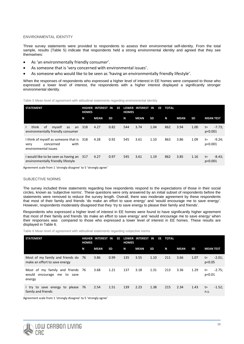#### ENVIRONMENTAL IDENTITY

Three survey statements were provided to respondents to assess their environmental self-identity. From the total sample, results (Table 5) indicate that respondents held a strong environmental identity and agreed that they see themselves:

- As 'an environmentally friendly consumer'.
- As someone that is 'very concerned with environmental issues'.
- As someone who would like to be seen as 'having an environmentally friendly lifestyle'.

When the responses of respondents who expressed a higher level of interest in EE homes were compared to those who expressed a lower level of interest, the respondents with a higher interest displayed a significantly stronger environmental identity.

Table 5 Mean level of agreement with attitudinal statements regarding environmental identity

| <b>STATEMENT</b>                                                                              | <b>HIGHER</b><br><b>HOMES</b> | <b>INTEREST IN</b> | FF.       | <b>HOMES</b> | LOWER INTEREST IN | FF.       | <b>TOTAL</b> |             |           |                              |
|-----------------------------------------------------------------------------------------------|-------------------------------|--------------------|-----------|--------------|-------------------|-----------|--------------|-------------|-----------|------------------------------|
|                                                                                               | N                             | <b>MEAN</b>        | <b>SD</b> | N            | <b>MEAN</b>       | <b>SD</b> | N            | <b>MEAN</b> | <b>SD</b> | <b>MEAN TEST</b>             |
| 0f<br>myself<br>an 318<br>think<br>as<br>environmentally friendly consumer                    |                               | 4.27               | 0.82      | 544          | 3.74              | 1.04      | 862          | 3.94        | 1.00      | $-7.73:$<br>$t =$<br>p<0.001 |
| I think of myself as someone that is 318<br>with<br>concerned<br>very<br>environmental issues |                               | 4.28               | 0.92      | 545          | 3.61              | 1.10      | 863          | 3.86        | 1.09      | $-9.24:$<br>t=<br>p<0.001    |
| I would like to be seen as having an<br>environmentally friendly lifestyle                    | 317                           | 4.27               | 0.97      | 545          | 3.61              | 1.19      | 862          | 3.85        | 1.16      | $-8.43:$<br>$t =$<br>p<0.001 |

Agreement scale from 1 'strongly disagree' to 5 'strongly agree'

#### SUBJECTIVE NORMS

The survey included three statements regarding how respondents respond to the expectations of those in their social circles, known as 'subjective norms'. These questions were only answered by an initial subset of respondents before the statements were removed to reduce the survey length. Overall, there was moderate agreement by these respondents that most of their family and friends 'do make an effort to save energy' and 'would encourage me to save energy'. However, respondents moderately disagreed that they 'try to save energy to please their family and friends'.

Respondents who expressed a higher level of interest in EE homes were found to have significantly higher agreement that most of their family and friends 'do make an effort to save energy' and 'would encourage me to save energy' when their responses was compared to those who expressed a lower level of interest in EE homes. These results are displayed i[n Table 6.](#page-15-0)

<span id="page-15-0"></span>Table 6 Mean level of agreement with attitudinal statements regarding subjective norms

| <b>STATEMENT</b>                                                            | <b>HOMES</b> | HIGHER INTEREST IN | EE.       | <b>HOMES</b> | LOWER INTEREST IN | EE.       | TOTAL |             |           |                             |
|-----------------------------------------------------------------------------|--------------|--------------------|-----------|--------------|-------------------|-----------|-------|-------------|-----------|-----------------------------|
|                                                                             | N            | <b>MEAN</b>        | <b>SD</b> | N            | <b>MEAN</b>       | <b>SD</b> | N     | <b>MEAN</b> | <b>SD</b> | <b>MEAN TEST</b>            |
| Most of my family and friends do 76<br>make an effort to save energy        |              | 3.86               | 0.99      | 135          | 3.55              | 1.10      | 211   | 3.66        | 1.07      | $-2.01:$<br>$t =$<br>p<0.05 |
| Most of my family and friends 76<br>would<br>encourage me to save<br>energy |              | 3.68               | 1.21      | 137          | 3.18              | 1.31      | 213   | 3.36        | 1.29      | $t =$<br>$-2.75:$<br>p<0.01 |
| I try to save energy to please 76<br>family and friends                     |              | 2.54               | 1.51      | 139          | 2.23              | 1.38      | 215   | 2.34        | 1.43      | $t =$<br>$-1.52;$<br>n.s.   |

Agreement scale from 1 'strongly disagree' to 5 'strongly agree'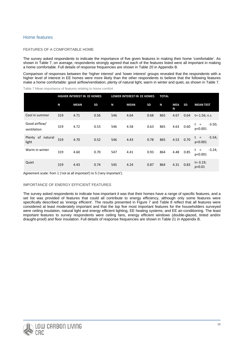# Home features

#### FEATURES OF A COMFORTABLE HOME

The survey asked respondents to indicate the importance of five given features in making their home 'comfortable'. As shown in [Table 7,](#page-16-0) on average, respondents strongly agreed that each of the features listed were all important in making a home comfortable. Full details of response frequencies are shown in [Table 20 in](#page-34-1) Appendix B.

Comparison of responses between the 'higher interest' and 'lower interest' groups revealed that the respondents with a higher level of interest in EE homes were more likely than the other respondents to believe that the following features make a home comfortable: good airflow/ventilation, plenty of natural light, warm in winter and quiet, as shown in [Table 7.](#page-16-0)

|                               |     | HIGHER INTEREST IN EE HOMES |           | <b>LOWER INTEREST IN EE HOMES</b> | <b>TOTAL</b> |           |     |                 |           |                                 |
|-------------------------------|-----|-----------------------------|-----------|-----------------------------------|--------------|-----------|-----|-----------------|-----------|---------------------------------|
|                               | N   | <b>MEAN</b>                 | <b>SD</b> | N                                 | <b>MEAN</b>  | <b>SD</b> | N   | <b>MEA</b><br>N | <b>SD</b> | <b>MEAN TEST</b>                |
| Cool in summer                | 319 | 4.71                        | 0.56      | 546                               | 4.64         | 0.68      | 865 | 4.67            | 0.64      | $t = -1.56$ ; n.s               |
| Good airflow/<br>ventilation  | 319 | 4.72                        | 0.53      | 546                               | 4.58         | 0.63      | 865 | 4.63            | 0.60      | $-3.50;$<br>$=$<br>p<0.001      |
| of natural<br>Plenty<br>light | 319 | 4.70                        | 0.52      | 546                               | 4.43         | 0.78      | 865 | 4.53            | 0.70      | $-5.54;$<br>$\equiv$<br>p<0.001 |
| Warm in winter                | 319 | 4.60                        | 0.70      | 547                               | 4.41         | 0.93      | 864 | 4.48            | 0.85      | $-3.24;$<br>$\equiv$<br>p<0.001 |
| Quiet                         | 319 | 4.43                        | 0.74      | 545                               | 4.24         | 0.87      | 864 | 4.31            | 0.83      | $t = -3.19$ ;<br>p<0.01         |

<span id="page-16-0"></span>Table 7 Mean importance of features relating to home comfort

Agreement scale: from 1 ('not at all important') to 5 ('very important').

#### IMPORTANCE OF ENERGY EFFICIENT FEATURES

The survey asked respondents to indicate how important it was that their homes have a range of specific features, and a set list was provided of features that could all contribute to energy efficiency, although only some features were specifically described as 'energy efficient'. The results presented in [Figure 7](#page-17-0) and Table 8 reflect that all features were considered at least moderately important and that the top five most important features for the householders surveyed were ceiling insulation, natural light and energy efficient lighting, EE heating systems, and EE air-conditioning. The least important features to survey respondents were ceiling fans, energy efficient windows (double-glazed, tinted and/or draught-proof) and floor insulation. Full details of response frequencies are shown i[n Table 21](#page-35-0) in Appendix B.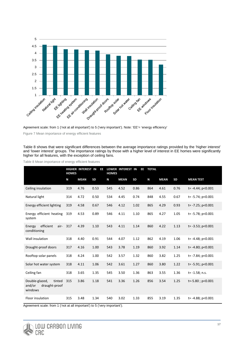



<span id="page-17-0"></span>Figure 7 Mean importance of energy efficient features

Table 8 shows that were significant differences between the average importance ratings provided by the 'higher interest' and 'lower interest' groups. The importance ratings by those with a higher level of interest in EE homes were significantly higher for all features, with the exception of ceiling fans.

Table 8 Mean importance of energy efficient features

|                                                                | <b>HOMES</b> | HIGHER INTEREST IN | EE        | <b>HOMES</b> | LOWER INTEREST IN | EE        | <b>TOTAL</b> |             |           |                           |
|----------------------------------------------------------------|--------------|--------------------|-----------|--------------|-------------------|-----------|--------------|-------------|-----------|---------------------------|
|                                                                | N            | <b>MEAN</b>        | <b>SD</b> | N            | <b>MEAN</b>       | <b>SD</b> | N            | <b>MEAN</b> | <b>SD</b> | <b>MEAN TEST</b>          |
| Ceiling insulation                                             | 319          | 4.76               | 0.53      | 545          | 4.52              | 0.86      | 864          | 4.61        | 0.76      | $t = -4.44$ ; $p < 0.001$ |
| Natural light                                                  | 314          | 4.72               | 0.50      | 534          | 4.45              | 0.74      | 848          | 4.55        | 0.67      | $t = -5.74$ ; $p < 0.001$ |
| Energy efficient lighting                                      | 319          | 4.58               | 0.67      | 546          | 4.12              | 1.02      | 865          | 4.29        | 0.93      | $t = -7.25$ ; $p < 0.001$ |
| Energy efficient heating<br>system                             | 319          | 4.53               | 0.89      | 546          | 4.11              | 1.10      | 865          | 4.27        | 1.05      | $t = -5.78$ ; $p < 0.001$ |
| efficient<br>air-<br>Energy<br>conditioning                    | 317          | 4.39               | 1.10      | 543          | 4.11              | 1.14      | 860          | 4.22        | 1.13      | $t = -3.53$ ; $p < 0.001$ |
| Wall insulation                                                | 318          | 4.40               | 0.91      | 544          | 4.07              | 1.12      | 862          | 4.19        | 1.06      | $t = -4.48$ ; $p < 0.001$ |
| Draught-proof doors                                            | 317          | 4.16               | 1.00      | 543          | 3.78              | 1.19      | 860          | 3.92        | 1.14      | $t = -4.80; p < 0.001$    |
| Rooftop solar panels                                           | 318          | 4.24               | 1.00      | 542          | 3.57              | 1.32      | 860          | 3.82        | 1.25      | $t = -7.84$ ; $p < 0.001$ |
| Solar hot water system                                         | 318          | 4.11               | 1.06      | 542          | 3.61              | 1.27      | 860          | 3.80        | 1.22      | t= -5.91; p<0.001         |
| Ceiling fan                                                    | 318          | 3.65               | 1.35      | 545          | 3.50              | 1.36      | 863          | 3.55        | 1.36      | $t = -1.58$ ; n.s.        |
| Double-glazed,<br>tinted<br>and/or<br>draught-proof<br>windows | 315          | 3.86               | 1.18      | 541          | 3.36              | 1.26      | 856          | 3.54        | 1.25      | $t=-5.80$ ; $p<0.001$     |
| Floor insulation                                               | 315          | 3.48               | 1.34      | 540          | 3.02              | 1.33      | 855          | 3.19        | 1.35      | $t = -4.88$ ; $p < 0.001$ |

Agreement scale: from 1 ('not at all important') to 5 ('very important').

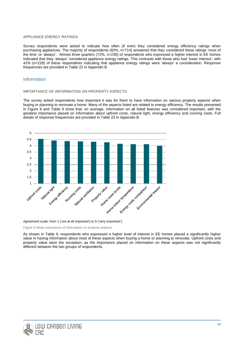#### APPLIANCE ENERGY RATINGS

Survey respondents were asked to indicate how often (if ever) they considered energy efficiency ratings when purchasing appliances. The majority of respondents (82%, n=714) answered that they considered these ratings 'most of the time' or 'always'. Almost three quarters (72%, n=230) of respondents who expressed a higher interest in EE homes indicated that they 'always' considered appliance energy ratings. This contrasts with those who had 'lower interest', with 42% (n=228) of these respondents indicating that appliance energy ratings were 'always' a consideration. Response frequencies are provided in [Table 22](#page-35-1) in Appendix B.

#### Information

#### IMPORTANCE OF INFORMATION ON PROPERTY ASPECTS

The survey asked respondents how important it was for them to have information on various property aspects when buying or planning to renovate a home. Many of the aspects listed are related to energy efficiency. The results presented in [Figure 8](#page-18-0) and [Table 9](#page-18-1) show that, on average, information on all listed features was considered important, with the greatest importance placed on information about upfront costs, natural light, energy efficiency and running costs. Full details of response frequencies are provided in [Table 23](#page-36-0) in Appendix B.



Agreement scale: from 1 ('not at all important') to 5 ('very important').

<span id="page-18-0"></span>Figure 8 Mean importance of information on property aspects

<span id="page-18-1"></span>As shown in [Table 9,](#page-18-1) respondents who expressed a higher level of interest in EE homes placed a significantly higher value in having information about most of these aspects when buying a home or planning to renovate. Upfront costs and property value were the exception, as the importance placed on information on these aspects was not significantly different between the two groups of respondents.

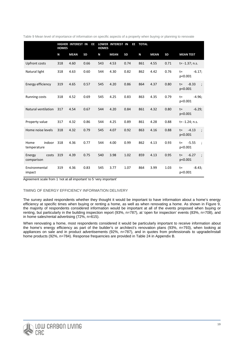|                               | <b>HOMES</b> | HIGHER INTEREST IN | EE.       | <b>HOMES</b> | LOWER INTEREST IN | EE        | <b>TOTAL</b> |             |           |                                             |
|-------------------------------|--------------|--------------------|-----------|--------------|-------------------|-----------|--------------|-------------|-----------|---------------------------------------------|
|                               | N            | <b>MEAN</b>        | <b>SD</b> | N            | <b>MEAN</b>       | <b>SD</b> | N            | <b>MEAN</b> | <b>SD</b> | <b>MEAN TEST</b>                            |
| Upfront costs                 | 318          | 4.60               | 0.66      | 543          | 4.53              | 0.74      | 861          | 4.55        | 0.71      | $t = -1.37$ ; n.s.                          |
| Natural light                 | 318          | 4.63               | 0.60      | 544          | 4.30              | 0.82      | 862          | 4.42        | 0.76      | $-6.17;$<br>$t =$<br>p<0.001                |
| Energy efficiency             | 319          | 4.65               | 0.57      | 545          | 4.20              | 0.86      | 864          | 4.37        | 0.80      | $-8.33$<br>$t =$<br>$\cdot$ :<br>p<0.001    |
| <b>Running costs</b>          | 318          | 4.52               | 0.69      | 545          | 4.25              | 0.83      | 863          | 4.35        | 0.79      | $-4.96;$<br>$t =$<br>p<0.001                |
| <b>Natural ventilation</b>    | 317          | 4.54               | 0.67      | 544          | 4.20              | 0.84      | 861          | 4.32        | 0.80      | $-6.29;$<br>$t =$<br>p<0.001                |
| Property value                | 317          | 4.32               | 0.86      | 544          | 4.25              | 0.89      | 861          | 4.28        | 0.88      | $t = -1.24$ ; n.s.                          |
| Home noise levels             | 318          | 4.32               | 0.79      | 545          | 4.07              | 0.92      | 863          | 4.16        | 0.88      | $-4.13$<br>$t =$<br>$\cdot$ :<br>p<0.001    |
| indoor<br>Home<br>temperature | 318          | 4.36               | 0.77      | 544          | 4.00              | 0.99      | 862          | 4.13        | 0.93      | $-5.55$<br>$\cdot$ :<br>$t =$<br>p<0.001    |
| Energy<br>costs<br>comparison | 319          | 4.39               | 0.75      | 540          | 3.98              | 1.02      | 859          | 4.13        | 0.95      | $-6.27$<br>$t =$<br>$\therefore$<br>p<0.001 |
| Environmental<br>impact       | 319          | 4.36               | 0.83      | 545          | 3.77              | 1.07      | 864          | 3.99        | 1.03      | $-8.43;$<br>$t =$<br>p<0.001                |

Table 9 Mean level of importance of information on specific aspects of a property when buying or planning to renovate

Agreement scale from 1 'not at all important' to 5 'very important'

#### TIMING OF ENERGY EFFICIENCY INFORMATION DELIVERY

The survey asked respondents whether they thought it would be important to have information about a home's energy efficiency at specific times when buying or renting a home, as well as when renovating a home. As shown in [Figure 9,](#page-20-0) the majority of respondents considered information would be important at all of the events proposed when buying or renting, but particularly in the building inspection report (93%, n=787), at 'open for inspection' events (83%, n=708), and in home sales/rental advertising (72%, n=615).

When renovating a home, most respondents considered it would be particularly important to receive information about the home's energy efficiency as part of the builder's or architect's renovation plans (93%, n=793), when looking at appliances on sale and in product advertisements (92%, n=787), and in quotes from professionals to upgrade/install home products (92%, n=784). Response frequencies are provided in [Table 24](#page-36-1) in Appendix B.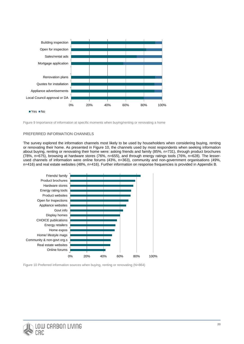

<span id="page-20-0"></span>Figure 9 Importance of information at specific moments when buying/renting or renovating a home

#### PREFERRED INFORMATION CHANNELS

The survey explored the information channels most likely to be used by householders when considering buying, renting or renovating their home. As presented in [Figure 10,](#page-20-1) the channels used by most respondents when seeking information about buying, renting or renovating their home were: asking friends and family (85%, n=731), through product brochures (78%, n=675), browsing at hardware stores (76%, n=655), and through energy ratings tools (76%, n=628). The lesserused channels of information were online forums (43%, n=363), community and non-government organisations (49%, n=416) and real estate websites (48%, n=416). Further information on response frequencies is provided in Appendix B.



<span id="page-20-1"></span>Figure 10 Preferred information sources when buying, renting or renovating (N=864)

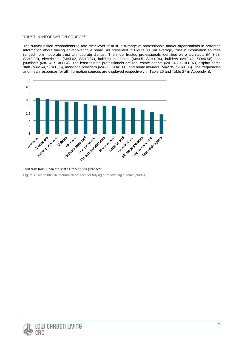#### TRUST IN INFORMATION SOURCES

The survey asked respondents to rate their level of trust in a range of professionals and/or organisations in providing information about buying or renovating a home. As presented in [Figure 11,](#page-21-0) on average, trust in information sources ranged from moderate trust to moderate distrust. The most trusted professionals identified were architects (M=3.68, SD=0.93), electricians (M=3.62, SD=0.97), building inspectors (M=3.5, SD=1.04), builders (M=3.42, SD=0.98) and plumbers (M=3.4, SD=1.04). The least trusted professionals are real estate agents (M=2.45, SD=1.07), display home staff (M=2.64, SD=1.05), mortgage providers (M=2.8, SD=1.06) and home insurers (M=2.95, SD=1.06). The frequencies and mean responses for all information sources are displayed respectively i[n Table 26](#page-37-0) an[d Table 27](#page-38-0) in Appendix B.



Trust scale from 1 'don't trust at all' to 5 'trust a great deal'

<span id="page-21-0"></span>Figure 11 Mean trust in information sources for buying or renovating a home (N=864)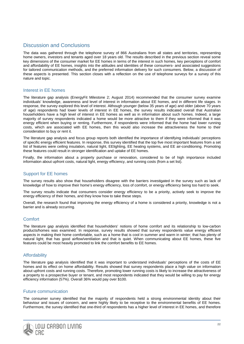# Discussion and Conclusions

The data was gathered through the telephone survey of 866 Australians from all states and territories, representing home owners, investors and tenants aged over 18 years old. The results described in the previous section reveal some key dimensions of the consumer market for EE homes in terms of the interest in such homes, key perceptions of comfort and affordability of EE homes, insights into the attitudes and identities of these consumers- and associated suggestions for tailored communication methods, and the preferred information delivery for such consumers. Below, a discussion of these aspects is presented. This section closes with a reflection on the use of telephone surveys for a survey of this nature and topic.

#### Interest in EE homes

The literature gap analysis (EnergyFit Milestone 2; August 2014) recommended that the consumer survey examine individuals' knowledge, awareness and level of interest in information about EE homes, and in different life stages. In response, the survey explored this level of interest. Although younger (below 35 years of age) and older (above 70 years of age) respondents had lower levels of interest in EE homes, the survey results indicated overall that Australian householders have a high level of interest in EE homes as well as in information about such homes. Indeed, a large majority of survey respondents indicated a home would be more attractive to them if they were informed that it was energy efficient when buying or renting. Furthermore, if respondents were informed that the home had lower running costs, which are associated with EE homes, then this would also increase the attractiveness the home to their consideration to buy or rent it.

The literature gap analysis and focus group reports both identified the importance of identifying individuals' perceptions of specific energy efficient features. In response, this survey identified that the top five most important features from a set list of features were ceiling insulation, natural light, EElighting, EE heating systems, and EE air-conditioning. Promoting these features could result in stronger identification and uptake of EE homes.

Finally, the information about a property purchase or renovation, considered to be of high importance included information about upfront costs, natural light, energy efficiency, and running costs (from a set list).

### Support for EE homes

The survey results also show that householders disagree with the barriers investigated in the survey such as lack of knowledge of how to improve their home's energy efficiency, loss of comfort, or energy efficiency being too hard to seek.

The survey results indicate that consumers consider energy efficiency to be a priority, actively seek to improve the energy efficiency of their homes, and they know how to take these steps.

Overall, the research found that improving the energy efficiency of a home is considered a priority, knowledge is not a barrier and is already occurring.

#### Comfort

The literature gap analysis identified that householders' notions of home comfort and its relationship to low-carbon products/homes was examined. In response, survey results showed that survey respondents value energy efficient aspects in making their home comfortable, such as a home that is cool in summer and warm in winter; that has plenty of natural light; that has good airflow/ventilation and that is quiet. When communicating about EE homes, these five features could be most heavily promoted to link the comfort benefits to EE homes.

#### **Affordability**

The literature gap analysis identified that it was important to understand individuals' perceptions of the costs of EE homes and its effect on home affordability. Results showed that survey respondents place a high value on information about upfront costs and running costs. Therefore, promoting lower running costs is likely to increase the attractiveness of a property to a prospective buyer or tenant, and most respondents indicated that they would be willing to pay for energy efficiency information (57%). Overall 36% would pay over \$100.

#### Future communication

The consumer survey identified that the majority of respondents held a strong environmental identity about their behaviour and issues of concern, and were highly likely to be receptive to the environmental benefits of EE homes. Furthermore, the survey identified that one-third of respondents has a higher level of interest in EE homes, and therefore

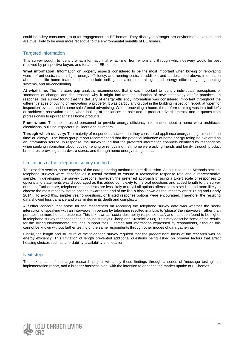could be a key consumer group for engagement on EE homes. They displayed stronger pro-environmental values, and are thus likely to be even more receptive to the environmental benefits of EE homes.

# Targeted information

This survey sought to identify what information, at what time, from whom and through which delivery would be best received by prospective buyers and tenants of EE homes.

**What information:** Information on property aspects considered to be the most important when buying or renovating were upfront costs, natural light, energy efficiency, and running costs. In addition, and as described above, information about specific home features should include ceiling insulation, natural light and energy efficient lighting, heating systems, and air-conditioning.

**At what time:** The literature gap analysis recommended that it was important to identify individuals' perceptions of 'moments of change' and the reasons why it might facilitate the adoption of new technology and/or practices. In response, this survey found that the delivery of energy efficiency information was considered important throughout the different stages of buying or renovating a property. It was particularly crucial in the building inspection report, at 'open for inspection' events, and in home sales/rental advertising. When renovating a home, the preferred timing was in a builder's or architect's renovation plans, when looking at appliances on sale and in product advertisements, and in quotes from professionals to upgrade/install home products.

**From whom:** The most trusted personnel to provide energy efficiency information about a home were architects, electricians, building inspectors, builders and plumbers.

**Through which delivery:** The majority of respondents stated that they considered appliance energy ratings 'most of the time' or 'always'. The focus group report recommended that the potential influence of home energy rating be explored as an information source. In response, the survey found that the preferred information channels identified by respondents when seeking information about buying, renting or renovating their home were asking friends and family, through product brochures, browsing at hardware stores, and through home energy ratings tools.

# Limitations of the telephone survey method

To close this section, some aspects of the data gathering method require discussion. As outlined in the Methods section, telephone surveys were identified as a useful method to ensure a reasonable response rate and a representative sample. In developing the survey questions, however, the preferred approach of using a Likert scale of responses to options and statements was discouraged as this added complexity to the oral questions and added length to the survey duration. Furthermore, telephone respondents are less likely to recall all options offered form a set list, and more likely to choose the most recently-stated options towards the end of the list- a bias known as the 'recency effect' (Xing and Handy 2014). To avoid this, simpler yes/no questions, or limited response options were encouraged. Therefore, the resulting data showed less variance and was limited in its depth and complexity.

A further concern that arose for the researchers on receiving the telephone survey data was whether the social interaction of speaking with an interviewer in person by telephone resulted in a bias to 'please' the interviewer rather than perhaps the more honest response. This is known as 'social desirability response bias', and has been found to be higher in telephone survey responses than in online surveys (Chang and Krosnick 2009). This may describe some of the results for the strong environmental attitudes, support for EE homes and information expressed by respondents, although this cannot be known without further testing of the same respondents through other modes of data gathering.

Finally, the length and structure of the telephone survey required that the predominant focus of the research was on energy efficiency. This limitation of length prevented additional questions being asked on broader factors that affect housing choices such as affordability, availability and location.

#### Next steps

The next phase of the larger research project will apply these findings through a series of 'message testing', an implementation report, and a broader business plan, with the intention to enhance the market uptake of EE homes.

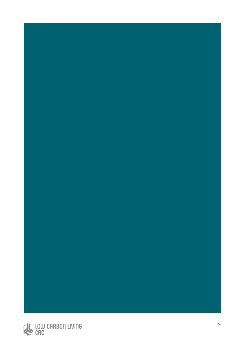

Chang, L, & Krosnick, JA (2009). National Surveys via RDD Telephone Interviewing Versus The Internet: Comparing

Stern PC (2000), 'New Environmental Theories: Toward a Coherent Theory of Environmentally Significant Behavior',

 $W_{\rm eff}$  and  $W_{\rm eff}$  (2010), 'Green identity, green living? The role of pro-environmental self-identity in determining consistency across diverse pro-environmental behaviours', *Journal of Environmental Psychology* 30:

 $X$ ing,  $Y$ andy, S (2014). Online versus phone surveys: comparison of results for a bicycling survey.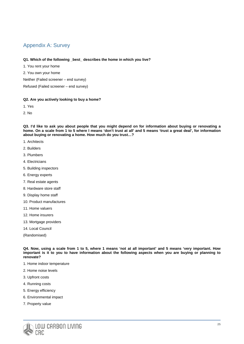# <span id="page-25-0"></span>Appendix A: Survey

#### **Q1. Which of the following \_best\_ describes the home in which you live?**

1. You rent your home

2. You own your home

Neither (Failed screener – end survey)

Refused (Failed screener – end survey)

#### **Q2. Are you actively looking to buy a home?**

1. Yes

2. No

**Q3. I'd like to ask you about people that you might depend on for information about buying or renovating a home. On a scale from 1 to 5 where I means 'don't trust at all' and 5 means 'trust a great deal', for information about buying or renovating a home. How much do you trust…?**

- 1. Architects
- 2. Builders
- 3. Plumbers
- 4. Electricians
- 5. Building inspectors
- 6. Energy experts
- 7. Real estate agents
- 8. Hardware store staff
- 9. Display home staff
- 10. Product manufactures
- 11. Home valuers
- 12. Home insurers
- 13. Mortgage providers
- 14. Local Council
- (Randomised)

**Q4. Now, using a scale from 1 to 5, where 1 means 'not at all important' and 5 means 'very important. How important is it to you to have information about the following aspects when you are buying or planning to renovate?**

- 1. Home indoor temperature
- 2. Home noise levels
- 3. Upfront costs
- 4. Running costs
- 5. Energy efficiency
- 6. Environmental impact
- 7. Property value

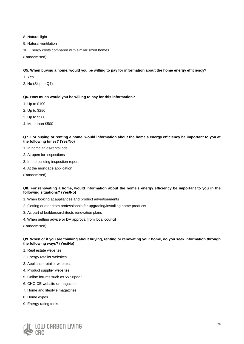- 8. Natural light
- 9. Natural ventilation
- 10. Energy costs compared with similar sized homes
- (Randomised)

#### **Q5. When buying a home, would you be willing to pay for information about the home energy efficiency?**

- 1. Yes
- 2. No (Skip to Q7)

#### **Q6. How much would you be willing to pay for this information?**

- 1. Up to \$100
- 2. Up to \$250
- 3. Up to \$500
- 4. More than \$500

**Q7. For buying or renting a home, would information about the home's energy efficiency be important to you at the following times? (Yes/No)**

- 1. In home sales/rental ads
- 2. At open for inspections
- 3. In the building inspection report
- 4. At the mortgage application

(Randomised)

#### **Q8. For renovating a home, would information about the home's energy efficiency be important to you in the following situations? (Yes/No)**

- 1. When looking at appliances and product advertisements
- 2. Getting quotes from professionals for upgrading/installing home products
- 3. As part of builders/architects renovation plans
- 4. When getting advice or DA approval from local council

(Randomised)

#### **Q9. When or if you are thinking about buying, renting or renovating your home, do you seek information through the following ways? (Yes/No)**

- 1. Real estate websites
- 2. Energy retailer websites
- 3. Appliance retailer websites
- 4. Product supplier websites
- 5. Online forums such as 'Whirlpool'
- 6. CHOICE website or magazine
- 7. Home and lifestyle magazines
- 8. Home expos
- 9. Energy rating tools

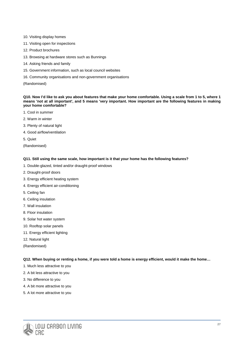- 10. Visiting display homes
- 11. Visiting open for inspections
- 12. Product brochures
- 13. Browsing at hardware stores such as Bunnings
- 14. Asking friends and family
- 15. Government information, such as local council websites
- 16. Community organisations and non-government organisations

(Randomised)

**Q10. Now I'd like to ask you about features that make your home comfortable. Using a scale from 1 to 5, where 1 means 'not at all important', and 5 means 'very important. How important are the following features in making your home comfortable?** 

- 1. Cool in summer
- 2. Warm in winter
- 3. Plenty of natural light
- 4. Good airflow/ventilation

5. Quiet

(Randomised)

#### **Q11. Still using the same scale, how important is it that your home has the following features?**

- 1. Double-glazed, tinted and/or draught-proof windows
- 2. Draught-proof doors
- 3. Energy efficient heating system
- 4. Energy efficient air-conditioning
- 5. Ceiling fan
- 6. Ceiling insulation
- 7. Wall insulation
- 8. Floor insulation
- 9. Solar hot water system
- 10. Rooftop solar panels
- 11. Energy efficient lighting
- 12. Natural light

(Randomised)

**Q12. When buying or renting a home, if you were told a home is energy efficient, would it make the home…**

- 1. Much less attractive to you
- 2. A bit less attractive to you
- 3. No difference to you
- 4. A bit more attractive to you
- 5. A lot more attractive to you

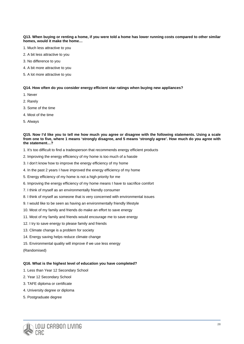**Q13. When buying or renting a home, if you were told a home has lower running costs compared to other similar homes, would it make the home…**

- 1. Much less attractive to you
- 2. A bit less attractive to you
- 3. No difference to you
- 4. A bit more attractive to you
- 5. A lot more attractive to you

**Q14. How often do you consider energy efficient star ratings when buying new appliances?**

- 1. Never
- 2. Rarely
- 3. Some of the time
- 4. Most of the time
- 5. Always

#### **Q15. Now I'd like you to tell me how much you agree or disagree with the following statements. Using a scale from one to five, where 1 means 'strongly disagree, and 5 means 'strongly agree'. How much do you agree with the statement…?**

- 1. It's too difficult to find a tradesperson that recommends energy efficient products
- 2. Improving the energy efficiency of my home is too much of a hassle
- 3. I don't know how to improve the energy efficiency of my home
- 4. In the past 2 years I have improved the energy efficiency of my home
- 5. Energy efficiency of my home is not a high priority for me
- 6. Improving the energy efficiency of my home means I have to sacrifice comfort
- 7. I think of myself as an environmentally friendly consumer
- 8. I think of myself as someone that is very concerned with environmental issues
- 9. I would like to be seen as having an environmentally friendly lifestyle
- 10. Most of my family and friends do make an effort to save energy
- 11. Most of my family and friends would encourage me to save energy
- 12. I try to save energy to please family and friends
- 13. Climate change is a problem for society
- 14. Energy saving helps reduce climate change
- 15. Environmental quality will improve if we use less energy

(Randomised)

#### **Q16. What is the highest level of education you have completed?**

- 1. Less than Year 12 Secondary School
- 2. Year 12 Secondary School
- 3. TAFE diploma or certificate
- 4. University degree or diploma
- 5. Postgraduate degree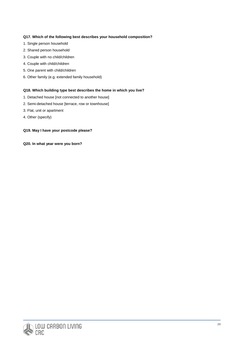### **Q17. Which of the following best describes your household composition?**

- 1. Single person household
- 2. Shared person household
- 3. Couple with no child/children
- 4. Couple with child/children
- 5. One parent with child/children
- 6. Other family (e.g. extended family household)

### **Q18. Which building type best describes the home in which you live?**

- 1. Detached house [not connected to another house]
- 2. Semi-detached house [terrace, row or townhouse]
- 3. Flat, unit or apartment
- 4. Other (specify)

### **Q19. May I have your postcode please?**

**Q20. In what year were you born?**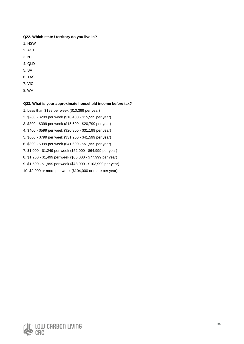### **Q22. Which state / territory do you live in?**

- 1. NSW
- 2. ACT
- 3. NT
- 4. QLD
- 5. SA
- 6. TAS
- 7. VIC
- 8. WA

## **Q23. What is your approximate household income before tax?**

- 1. Less than \$199 per week (\$10,399 per year)
- 2. \$200 \$299 per week (\$10,400 \$15,599 per year)
- 3. \$300 \$399 per week (\$15,600 \$20,799 per year)
- 4. \$400 \$599 per week (\$20,800 \$31,199 per year)
- 5. \$600 \$799 per week (\$31,200 \$41,599 per year)
- 6. \$800 \$999 per week (\$41,600 \$51,999 per year)
- 7. \$1,000 \$1,249 per week (\$52,000 \$64,999 per year)
- 8. \$1,250 \$1,499 per week (\$65,000 \$77,999 per year)
- 9. \$1,500 \$1,999 per week (\$78,000 \$103,999 per year)
- 10. \$2,000 or more per week (\$104,000 or more per year)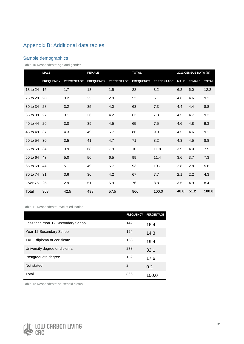# Appendix B: Additional data tables

# Sample demographics

Table 10 Respondents' age and gender

|             | <b>MALE</b>      | <b>TOTAL</b><br><b>FEMALE</b> |                  |                   |                  | 2011 CENSUS DATA (%) |             |               |              |
|-------------|------------------|-------------------------------|------------------|-------------------|------------------|----------------------|-------------|---------------|--------------|
|             | <b>FREQUENCY</b> | <b>PERCENTAGE</b>             | <b>FREQUENCY</b> | <b>PERCENTAGE</b> | <b>FREQUENCY</b> | <b>PERCENTAGE</b>    | <b>MALE</b> | <b>FEMALE</b> | <b>TOTAL</b> |
| 18 to 24 15 |                  | 1.7                           | 13               | 1.5               | 28               | 3.2                  | 6.2         | 6.0           | 12.2         |
| 25 to 29    | -28              | 3.2                           | 25               | 2.9               | 53               | 6.1                  | 4.6         | 4.6           | 9.2          |
| 30 to 34 28 |                  | 3.2                           | 35               | 4.0               | 63               | 7.3                  | 4.4         | 4.4           | 8.8          |
| 35 to 39 27 |                  | 3.1                           | 36               | 4.2               | 63               | 7.3                  | 4.5         | 4.7           | 9.2          |
| 40 to 44 26 |                  | 3.0                           | 39               | 4.5               | 65               | 7.5                  | 4.6         | 4.8           | 9.3          |
| 45 to 49 37 |                  | 4.3                           | 49               | 5.7               | 86               | 9.9                  | 4.5         | 4.6           | 9.1          |
| 50 to 54 30 |                  | 3.5                           | 41               | 4.7               | 71               | 8.2                  | 4.3         | 4.5           | 8.8          |
| 55 to 59 34 |                  | 3.9                           | 68               | 7.9               | 102              | 11.8                 | 3.9         | 4.0           | 7.9          |
| 60 to 64 43 |                  | 5.0                           | 56               | 6.5               | 99               | 11.4                 | 3.6         | 3.7           | 7.3          |
| 65 to 69    | -44              | 5.1                           | 49               | 5.7               | 93               | 10.7                 | 2.8         | 2.8           | 5.6          |
| 70 to 74 31 |                  | 3.6                           | 36               | 4.2               | 67               | 7.7                  | 2.1         | 2.2           | 4.3          |
| Over 75     | 25               | 2.9                           | 51               | 5.9               | 76               | 8.8                  | 3.5         | 4.9           | 8.4          |
| Total       | 368              | 42.5                          | 498              | 57.5              | 866              | 100.0                | 48.8        | 51.2          | 100.0        |

Table 11 Respondents' level of education

|                                    | <b>FREQUENCY</b> | PERCENTAGE |
|------------------------------------|------------------|------------|
| Less than Year 12 Secondary School | 142              | 16.4       |
| Year 12 Secondary School           | 124              | 14.3       |
| TAFE diploma or certificate        | 168              | 19.4       |
| University degree or diploma       | 278              | 32.1       |
| Postgraduate degree                | 152              | 17.6       |
| Not stated                         | $\overline{2}$   | 0.2        |
| Total                              | 866              | 100.0      |

Table 12 Respondents' household status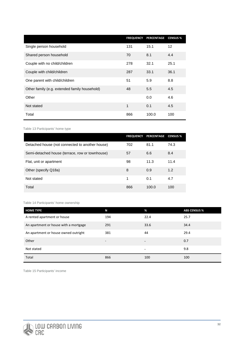|                                               | <b>FREQUENCY</b> | PERCENTAGE | <b>CENSUS %</b> |
|-----------------------------------------------|------------------|------------|-----------------|
| Single person household                       | 131              | 15.1       | 12              |
| Shared person household                       | 70               | 8.1        | 4.4             |
| Couple with no child/children                 | 278              | 32.1       | 25.1            |
| Couple with child/children                    | 287              | 33.1       | 36.1            |
| One parent with child/children                | 51               | 5.9        | 8.8             |
| Other family (e.g. extended family household) | 48               | 5.5        | 4.5             |
| Other                                         |                  | 0.0        | 4.6             |
| Not stated                                    | 1                | 0.1        | 4.5             |
| Total                                         | 866              | 100.0      | 100             |

Table 13 Participants' home type

|                                                 | <b>FREQUENCY</b> | PERCENTAGE | <b>CENSUS %</b> |
|-------------------------------------------------|------------------|------------|-----------------|
| Detached house (not connected to another house) | 702              | 81.1       | 74.3            |
| Semi-detached house (terrace, row or townhouse) | 57               | 6.6        | 8.4             |
| Flat, unit or apartment                         | 98               | 11.3       | 11.4            |
| Other (specify Q18a)                            | 8                | 0.9        | 1.2             |
| Not stated                                      | 1                | 0.1        | 4.7             |
| Total                                           | 866              | 100.0      | 100             |

Table 14 Participants' home ownership

| <b>HOME TYPE</b>                      | N                        | %                        | <b>ABS CENSUS %</b> |
|---------------------------------------|--------------------------|--------------------------|---------------------|
| A rented apartment or house           | 194                      | 22.4                     | 25.7                |
| An apartment or house with a mortgage | 291                      | 33.6                     | 34.4                |
| An apartment or house owned outright  | 381                      | 44                       | 29.4                |
| Other                                 | $\overline{\phantom{a}}$ | $\overline{\phantom{a}}$ | 0.7                 |
| Not stated                            |                          | $\overline{\phantom{a}}$ | 9.8                 |
| Total                                 | 866                      | 100                      | 100                 |

Table 15 Participants' income

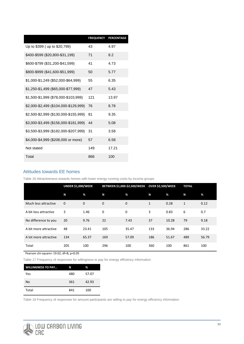|                                       | <b>FREQUENCY</b> | <b>PERCENTAGE</b> |
|---------------------------------------|------------------|-------------------|
| Up to \$399 (up to \$20,799)          | 43               | 4.97              |
| \$400-\$599 (\$20,800-\$31,199)       | 71               | 8.2               |
| \$600-\$799 (\$31,200-\$41,599)       | 41               | 4.73              |
| \$800-\$999 (\$41,600-\$51,999)       | 50               | 5.77              |
| \$1,000-\$1,249 (\$52,000-\$64,999)   | 55               | 6.35              |
| \$1,250-\$1,499 (\$65,000-\$77,999)   | 47               | 5.43              |
| \$1,500-\$1,999 (\$78,000-\$103,999)  | 121              | 13.97             |
| \$2,000-\$2,499 (\$104,000-\$129,999) | 76               | 8.78              |
| \$2,500-\$2,999 (\$130,000-\$155,999) | 81               | 9.35              |
| \$3,000-\$3,499 (\$156,000-\$181,999) | 44               | 5.08              |
| \$3,500-\$3,999 (\$182,000-\$207,999) | 31               | 3.58              |
| \$4,000-\$4,999 (\$208,000 or more)   | 57               | 6.58              |
| Not stated                            | 149              | 17.21             |
| Total                                 | 866              | 100               |

# Attitudes towards EE homes

<span id="page-33-0"></span>Table 16 Attractiveness towards homes with lower energy running costs by income groups

|                       |              | <b>UNDER \$1,000/WEEK</b> |             | BETWEEN \$1,000-\$2,500/WEEK OVER \$2,500/WEEK |              |       |              | <b>TOTAL</b> |  |
|-----------------------|--------------|---------------------------|-------------|------------------------------------------------|--------------|-------|--------------|--------------|--|
|                       | N            | %                         | N           | %                                              | N            | %     | $\mathbb N$  | %            |  |
| Much less attractive  | $\mathbf{0}$ | $\mathbf{0}$              | $\mathbf 0$ | $\mathbf{0}$                                   | $\mathbf{1}$ | 0.28  | $\mathbf{1}$ | 0.12         |  |
| A bit less attractive | 3            | 1.46                      | $\mathbf 0$ | $\mathbf 0$                                    | 3            | 0.83  | 6            | 0.7          |  |
| No difference to you  | 20           | 9.76                      | 22          | 7.43                                           | 37           | 10.28 | 79           | 9.18         |  |
| A bit more attractive | 48           | 23.41                     | 105         | 35.47                                          | 133          | 36.94 | 286          | 33.22        |  |
| A lot more attractive | 134          | 65.37                     | 169         | 57.09                                          | 186          | 51.67 | 489          | 56.79        |  |
| Total                 | 205          | 100                       | 296         | 100                                            | 360          | 100   | 861          | 100          |  |

Pearson chi-square= 19.02; df=8; p<0.05

<span id="page-33-1"></span>Table 17 Frequency of responses for willingness to pay for energy efficiency information

| <b>WILLINGNESS TO PAY</b> | N   | ℅     |
|---------------------------|-----|-------|
| Yes                       | 480 | 57.07 |
| No                        | 361 | 42.93 |
| Total                     | 841 | 100   |

<span id="page-33-2"></span>Table 18 Frequency of responses for amount participants are willing to pay for energy efficiency information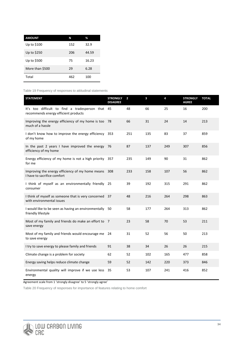| <b>AMOUNT</b>   | N   | %     |
|-----------------|-----|-------|
| Up to \$100     | 152 | 32.9  |
| Up to \$250     | 206 | 44.59 |
| Up to \$500     | 75  | 16.23 |
| More than \$500 | 29  | 6.28  |
| Total           | 462 | 100   |

<span id="page-34-0"></span>Table 19 Frequency of responses to attitudinal statements

| <b>STATEMENT</b>                                                                          | <b>STRONGLY</b><br><b>DISAGREE</b> | $\overline{2}$ | 3   | 4   | <b>STRONGLY</b><br><b>AGREE</b> | <b>TOTAL</b> |
|-------------------------------------------------------------------------------------------|------------------------------------|----------------|-----|-----|---------------------------------|--------------|
| It's too difficult to find a tradesperson that 45<br>recommends energy efficient products |                                    | 48             | 66  | 25  | 16                              | 200          |
| Improving the energy efficiency of my home is too 78<br>much of a hassle                  |                                    | 66             | 31  | 24  | 14                              | 213          |
| I don't know how to improve the energy efficiency 353<br>of my home                       |                                    | 251            | 135 | 83  | 37                              | 859          |
| In the past 2 years I have improved the energy 76<br>efficiency of my home                |                                    | 87             | 137 | 249 | 307                             | 856          |
| Energy efficiency of my home is not a high priority<br>for me                             | 357                                | 235            | 149 | 90  | 31                              | 862          |
| Improving the energy efficiency of my home means 308<br>I have to sacrifice comfort       |                                    | 233            | 158 | 107 | 56                              | 862          |
| I think of myself as an environmentally friendly 25<br>consumer                           |                                    | 39             | 192 | 315 | 291                             | 862          |
| I think of myself as someone that is very concerned 37<br>with environmental issues       |                                    | 48             | 216 | 264 | 298                             | 863          |
| I would like to be seen as having an environmentally 50<br>friendly lifestyle             |                                    | 58             | 177 | 264 | 313                             | 862          |
| Most of my family and friends do make an effort to 7<br>save energy                       |                                    | 23             | 58  | 70  | 53                              | 211          |
| Most of my family and friends would encourage me 24<br>to save energy                     |                                    | 31             | 52  | 56  | 50                              | 213          |
| I try to save energy to please family and friends                                         | 91                                 | 38             | 34  | 26  | 26                              | 215          |
| Climate change is a problem for society                                                   | 62                                 | 52             | 102 | 165 | 477                             | 858          |
| Energy saving helps reduce climate change                                                 | 59                                 | 52             | 142 | 220 | 373                             | 846          |
| Environmental quality will improve if we use less<br>energy                               | 35                                 | 53             | 107 | 241 | 416                             | 852          |

Agreement scale from 1 'strongly disagree' to 5 'strongly agree'

<span id="page-34-1"></span>Table 20 Frequency of responses for importance of features relating to home comfort

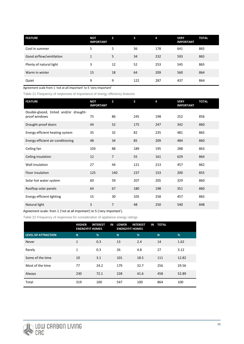| <b>FEATURE</b>           | <b>NOT</b><br><b>IMPORTANT</b> | $\mathbf{2}$ | з   | 4   | <b>VERY</b><br><b>IMPORTANT</b> | <b>TOTAL</b> |
|--------------------------|--------------------------------|--------------|-----|-----|---------------------------------|--------------|
| Cool in summer           | 5                              | 5            | 36  | 178 | 641                             | 865          |
| Good airflow/ventilation | $\mathbf{1}$                   | 5            | 34  | 232 | 593                             | 865          |
| Plenty of natural light  | 3                              | 12           | 52  | 253 | 545                             | 865          |
| Warm in winter           | 15                             | 18           | 64  | 209 | 560                             | 864          |
| Quiet                    | 9                              | 9            | 122 | 287 | 437                             | 864          |

Agreement scale from 1 'not at all important' to 5 'very important'

<span id="page-35-0"></span>Table 21 Frequency of responses of importance of energy efficiency features

| <b>FEATURE</b>                                         | <b>NOT</b><br><b>IMPORTANT</b> | $\overline{2}$ | 3   | 4   | <b>VERY</b><br><b>IMPORTANT</b> | <b>TOTAL</b> |
|--------------------------------------------------------|--------------------------------|----------------|-----|-----|---------------------------------|--------------|
| Double-glazed, tinted and/or draught-<br>proof windows | 75                             | 86             | 245 | 198 | 252                             | 856          |
| Draught-proof doors                                    | 44                             | 52             | 175 | 247 | 342                             | 860          |
| Energy efficient heating system                        | 35                             | 32             | 82  | 235 | 481                             | 865          |
| Energy efficient air-conditioning                      | 48                             | 34             | 85  | 209 | 484                             | 860          |
| Ceiling fan                                            | 103                            | 88             | 189 | 195 | 288                             | 863          |
| Ceiling insulation                                     | 12                             | 7              | 55  | 161 | 629                             | 864          |
| Wall insulation                                        | 27                             | 44             | 121 | 213 | 457                             | 862          |
| Floor insulation                                       | 125                            | 140            | 237 | 153 | 200                             | 855          |
| Solar hot water system                                 | 60                             | 59             | 207 | 205 | 329                             | 860          |
| Rooftop solar panels                                   | 64                             | 67             | 180 | 198 | 351                             | 860          |
| Energy efficient lighting                              | 15                             | 30             | 105 | 258 | 457                             | 865          |
| Natural light                                          | 3                              | $\overline{7}$ | 48  | 250 | 540                             | 848          |

Agreement scale: from 1 ('not at all important') to 5 ('very important').

<span id="page-35-1"></span>Table 22 Frequency of responses for consideration of appliance energy ratings

|                            | <b>HIGHER</b><br><b>ENERGYFIT HOMES</b> | <b>INTEREST</b><br>IN | <b>LOWER</b><br><b>ENERGYFIT HOMES</b> | <b>INTEREST</b><br>IN | <b>TOTAL</b>   |               |
|----------------------------|-----------------------------------------|-----------------------|----------------------------------------|-----------------------|----------------|---------------|
| <b>LEVEL OF ATTRACTION</b> | N                                       | %                     | N                                      | %                     | N <sub>1</sub> | $\frac{9}{6}$ |
| Never                      | 1                                       | 0.3                   | 13                                     | 2.4                   | 14             | 1.62          |
| Rarely                     | 1                                       | 0.3                   | 26                                     | 4.8                   | 27             | 3.12          |
| Some of the time           | 10                                      | 3.1                   | 101                                    | 18.5                  | 111            | 12.82         |
| Most of the time           | 77                                      | 24.2                  | 179                                    | 32.7                  | 256            | 29.56         |
| Always                     | 230                                     | 72.1                  | 228                                    | 41.6                  | 458            | 52.89         |
| Total                      | 319                                     | 100                   | 547                                    | 100                   | 864            | 100           |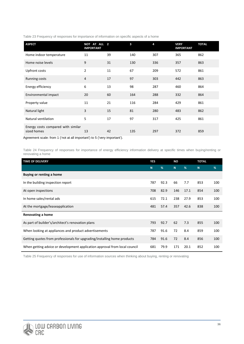<span id="page-36-0"></span>

|  |  | Table 23 Frequency of responses for importance of information on specific aspects of a home |  |
|--|--|---------------------------------------------------------------------------------------------|--|
|  |  |                                                                                             |  |
|  |  |                                                                                             |  |

| <b>ASPECT</b>                                     | NOT AT ALL 2<br><b>IMPORTANT</b> |    | 3   | 4   | <b>VERY</b><br><b>IMPORTANT</b> | <b>TOTAL</b> |
|---------------------------------------------------|----------------------------------|----|-----|-----|---------------------------------|--------------|
| Home indoor temperature                           | 11                               | 39 | 140 | 307 | 365                             | 862          |
| Home noise levels                                 | 9                                | 31 | 130 | 336 | 357                             | 863          |
| <b>Upfront costs</b>                              | $\overline{2}$                   | 11 | 67  | 209 | 572                             | 861          |
| <b>Running costs</b>                              | 4                                | 17 | 97  | 303 | 442                             | 863          |
| Energy efficiency                                 | 6                                | 13 | 98  | 287 | 460                             | 864          |
| Environmental impact                              | 20                               | 60 | 164 | 288 | 332                             | 864          |
| Property value                                    | 11                               | 21 | 116 | 284 | 429                             | 861          |
| Natural light                                     | 3                                | 15 | 81  | 280 | 483                             | 862          |
| Natural ventilation                               | 5                                | 17 | 97  | 317 | 425                             | 861          |
| Energy costs compared with similar<br>sized homes | 13                               | 42 | 135 | 297 | 372                             | 859          |

Agreement scale: from 1 ('not at all important') to 5 ('very important').

<span id="page-36-1"></span>Table 24 Frequency of responses for importance of energy efficiency information delivery at specific times when buying/renting or renovating a home

| <b>TIME OF DELIVERY</b>                                                    | <b>YES</b>  |      | <b>NO</b> |      | <b>TOTAL</b> |     |
|----------------------------------------------------------------------------|-------------|------|-----------|------|--------------|-----|
|                                                                            | $\mathbf N$ | %    | N         | %    | $\mathbf N$  | %   |
| Buying or renting a home                                                   |             |      |           |      |              |     |
| In the building inspection report                                          | 787         | 92.3 | 66        | 7.7  | 853          | 100 |
| At open inspections                                                        | 708         | 82.9 | 146       | 17.1 | 854          | 100 |
| In home sales/rental ads                                                   | 615         | 72.1 | 238       | 27.9 | 853          | 100 |
| At the mortgage/leaseapplication                                           | 481         | 57.4 | 357       | 42.6 | 838          | 100 |
| Renovating a home                                                          |             |      |           |      |              |     |
| As part of builder's/architect's renovation plans                          | 793         | 92.7 | 62        | 7.3  | 855          | 100 |
| When looking at appliances and product advertisements                      | 787         | 91.6 | 72        | 8.4  | 859          | 100 |
| Getting quotes from professionals for upgrading/installing home products   | 784         | 91.6 | 72        | 8.4  | 856          | 100 |
| When getting advice or development application approval from local council | 681         | 79.9 | 171       | 20.1 | 852          | 100 |

Table 25 Frequency of responses for use of information sources when thinking about buying, renting or renovating

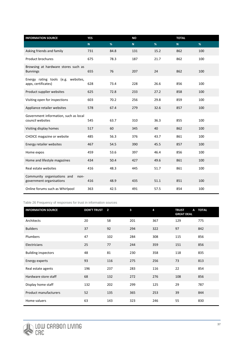| <b>INFORMATION SOURCE</b>                                       | <b>YES</b>  |      | <b>NO</b>   |      | <b>TOTAL</b> |     |
|-----------------------------------------------------------------|-------------|------|-------------|------|--------------|-----|
|                                                                 | $\mathbf N$ | %    | $\mathbf N$ | %    | $\mathsf{N}$ | %   |
| Asking friends and family                                       | 731         | 84.8 | 131         | 15.2 | 862          | 100 |
| <b>Product brochures</b>                                        | 675         | 78.3 | 187         | 21.7 | 862          | 100 |
| Browsing at hardware stores such as<br><b>Bunnings</b>          | 655         | 76   | 207         | 24   | 862          | 100 |
| Energy rating tools (e.g. websites,<br>apps, certificates)      | 628         | 73.4 | 228         | 26.6 | 856          | 100 |
| Product supplier websites                                       | 625         | 72.8 | 233         | 27.2 | 858          | 100 |
| Visiting open for inspections                                   | 603         | 70.2 | 256         | 29.8 | 859          | 100 |
| Appliance retailer websites                                     | 578         | 67.4 | 279         | 32.6 | 857          | 100 |
| Government information, such as local<br>council websites       | 545         | 63.7 | 310         | 36.3 | 855          | 100 |
| Visiting display homes                                          | 517         | 60   | 345         | 40   | 862          | 100 |
| CHOICE magazine or website                                      | 485         | 56.3 | 376         | 43.7 | 861          | 100 |
| Energy retailer websites                                        | 467         | 54.5 | 390         | 45.5 | 857          | 100 |
| Home expos                                                      | 459         | 53.6 | 397         | 46.4 | 856          | 100 |
| Home and lifestyle magazines                                    | 434         | 50.4 | 427         | 49.6 | 861          | 100 |
| Real estate websites                                            | 416         | 48.3 | 445         | 51.7 | 861          | 100 |
| Community organisations and<br>non-<br>government organisations | 416         | 48.9 | 435         | 51.1 | 851          | 100 |
| Online forums such as Whirlpool                                 | 363         | 42.5 | 491         | 57.5 | 854          | 100 |

<span id="page-37-0"></span>Table 26 Frequency of responses for trust in information sources

| <b>INFORMATION SOURCE</b>  | <b>DON'T TRUST</b> | $\overline{2}$ | 3   | 4   | <b>TRUST</b><br>A<br><b>GREAT DEAL</b> | <b>TOTAL</b> |
|----------------------------|--------------------|----------------|-----|-----|----------------------------------------|--------------|
| Architects                 | 20                 | 58             | 201 | 367 | 129                                    | 775          |
| <b>Builders</b>            | 37                 | 92             | 294 | 322 | 97                                     | 842          |
| Plumbers                   | 47                 | 102            | 284 | 308 | 115                                    | 856          |
| <b>Electricians</b>        | 25                 | 77             | 244 | 359 | 151                                    | 856          |
| <b>Building inspectors</b> | 48                 | 81             | 230 | 358 | 118                                    | 835          |
| Energy experts             | 93                 | 116            | 275 | 256 | 73                                     | 813          |
| Real estate agents         | 196                | 237            | 283 | 116 | 22                                     | 854          |
| Hardware store staff       | 68                 | 132            | 272 | 276 | 108                                    | 856          |
| Display home staff         | 132                | 202            | 299 | 125 | 29                                     | 787          |
| Product manufacturers      | 52                 | 135            | 365 | 253 | 39                                     | 844          |
| Home valuers               | 63                 | 143            | 323 | 246 | 55                                     | 830          |